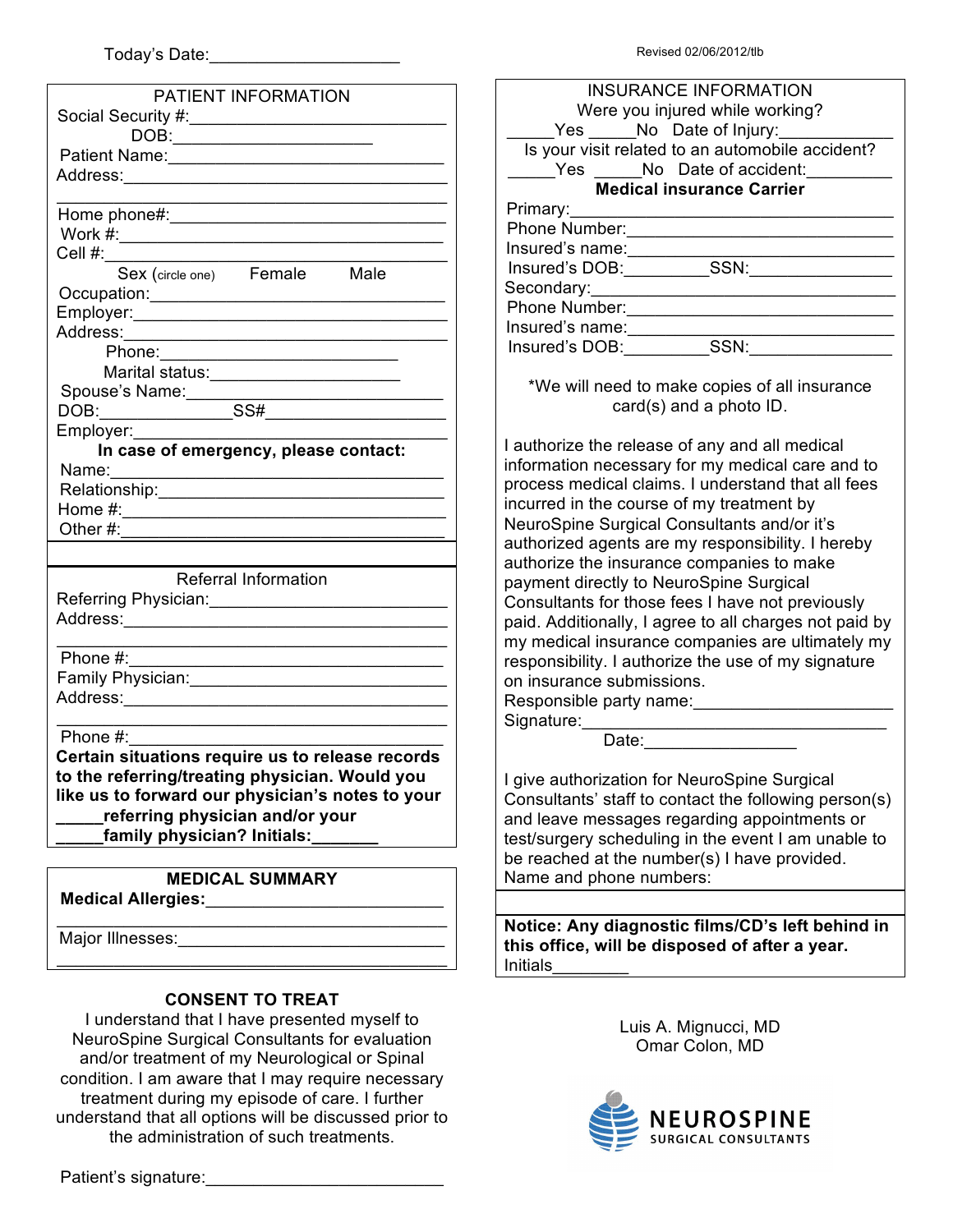|  |  | Revised 02/06/2012/tlb |
|--|--|------------------------|
|--|--|------------------------|

| PATIENT INFORMATION                                                                                           |
|---------------------------------------------------------------------------------------------------------------|
|                                                                                                               |
|                                                                                                               |
|                                                                                                               |
|                                                                                                               |
|                                                                                                               |
|                                                                                                               |
|                                                                                                               |
|                                                                                                               |
| Cell #: Sex (circle one) Female Male                                                                          |
|                                                                                                               |
|                                                                                                               |
|                                                                                                               |
| Phone: 2008 2010 2010 2010 2010 2010 2021 2022 2023 2024 2022 2023 2024 2022 2023 2024 2022 2023 2024 2025 20 |
|                                                                                                               |
| Spouse's Name:                                                                                                |
|                                                                                                               |
|                                                                                                               |
| Employer:<br>In case of emergency, please contact:                                                            |
|                                                                                                               |
|                                                                                                               |
|                                                                                                               |
| Other $\#$ : $\_\_\_\_\$                                                                                      |
|                                                                                                               |
| <b>Referral Information</b>                                                                                   |
| Referring Physician: _________________________________                                                        |
| Address:___________________________                                                                           |
|                                                                                                               |
|                                                                                                               |
|                                                                                                               |
|                                                                                                               |
|                                                                                                               |
| Phone $#$ :                                                                                                   |
| Certain situations require us to release records                                                              |
| to the referring/treating physician. Would you                                                                |
| like us to forward our physician's notes to your                                                              |
| referring physician and/or your                                                                               |
| family physician? Initials:                                                                                   |
|                                                                                                               |
| <b>MEDICAL SUMMARY</b>                                                                                        |
| <b>Medical Allergies:</b>                                                                                     |
|                                                                                                               |
| Major Illnesses:<br><u> 1989 - Andrea Andrew Maria (h. 19</u>                                                 |
|                                                                                                               |
|                                                                                                               |

### **CONSENT TO TREAT**

I understand that I have presented myself to NeuroSpine Surgical Consultants for evaluation and/or treatment of my Neurological or Spinal condition. I am aware that I may require necessary treatment during my episode of care. I further understand that all options will be discussed prior to the administration of such treatments.

Patient's signature:

| <b>INSURANCE INFORMATION</b>                     |
|--------------------------------------------------|
| Were you injured while working?                  |
| Yes No Date of Injury:                           |
| Is your visit related to an automobile accident? |
| Yes No Date of accident:                         |
| <b>Medical insurance Carrier</b>                 |
| Primary:                                         |
| Phone Number:                                    |
| Insured's name:                                  |
| Insured's DOB:<br>SSN:                           |
| Secondary:                                       |
| Phone Number:                                    |
| Insured's name:                                  |
| Insured's DOB:                                   |
|                                                  |

\*We will need to make copies of all insurance card(s) and a photo ID.

I authorize the release of any and all medical information necessary for my medical care and to process medical claims. I understand that all fees incurred in the course of my treatment by NeuroSpine Surgical Consultants and/or it's authorized agents are my responsibility. I hereby authorize the insurance companies to make payment directly to NeuroSpine Surgical Consultants for those fees I have not previously paid. Additionally, I agree to all charges not paid by my medical insurance companies are ultimately my responsibility. I authorize the use of my signature on insurance submissions.

Responsible party name:

Signature:

Date:

I give authorization for NeuroSpine Surgical Consultants' staff to contact the following person(s) and leave messages regarding appointments or test/surgery scheduling in the event I am unable to be reached at the number(s) I have provided. Name and phone numbers:

**Notice: Any diagnostic films/CD's left behind in this office, will be disposed of after a year. Initials** 

> Luis A. Mignucci, MD Omar Colon, MD

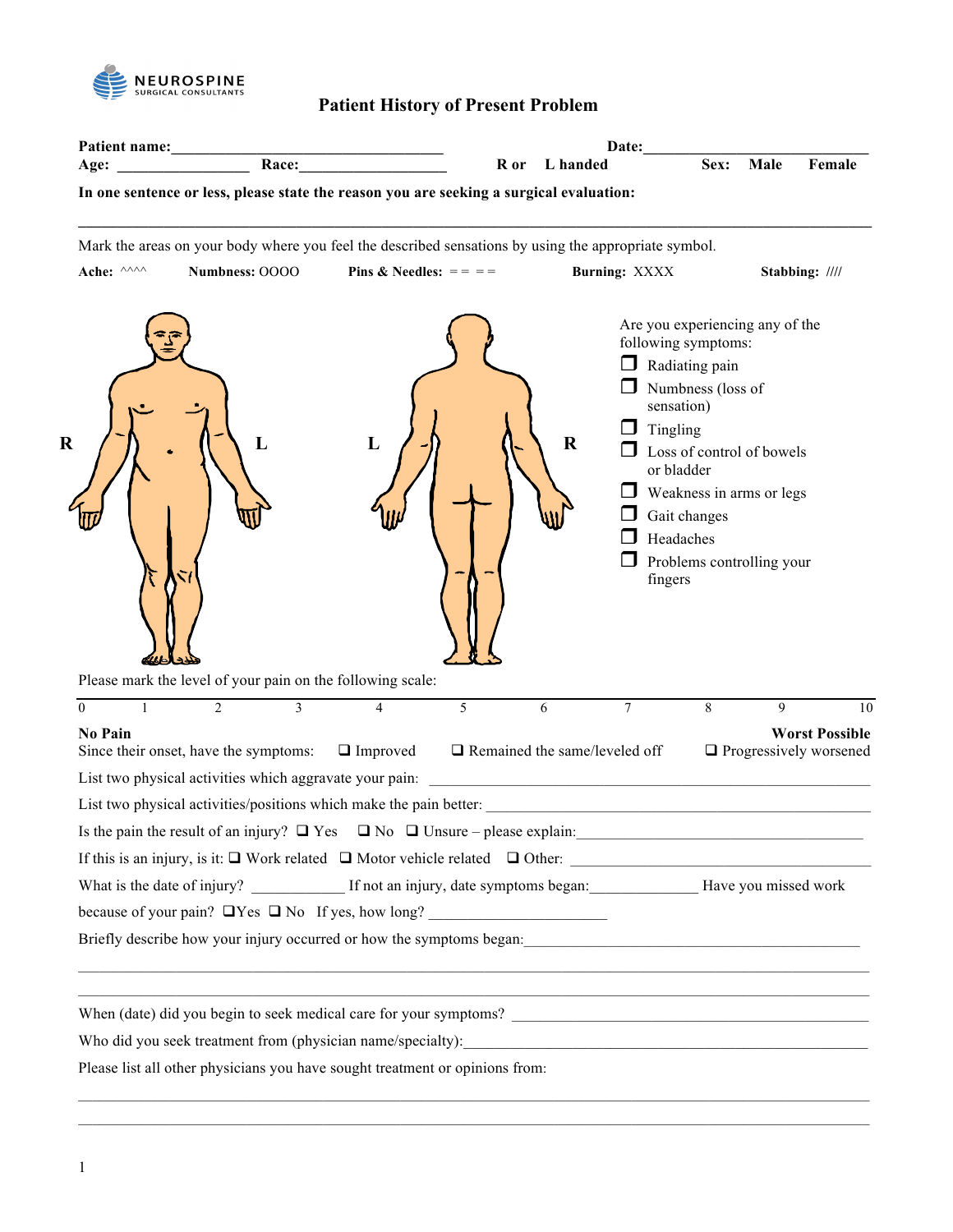

## **Patient History of Present Problem**

| In one sentence or less, please state the reason you are seeking a surgical evaluation:<br>Mark the areas on your body where you feel the described sensations by using the appropriate symbol.                                  |                                  |                           | R or | L handed                                                                                                             | Sex:                                                                                                                                                                                                                                                                | Male         | Female                                                 |
|----------------------------------------------------------------------------------------------------------------------------------------------------------------------------------------------------------------------------------|----------------------------------|---------------------------|------|----------------------------------------------------------------------------------------------------------------------|---------------------------------------------------------------------------------------------------------------------------------------------------------------------------------------------------------------------------------------------------------------------|--------------|--------------------------------------------------------|
|                                                                                                                                                                                                                                  |                                  |                           |      |                                                                                                                      |                                                                                                                                                                                                                                                                     |              |                                                        |
| Ache: ^^^^                                                                                                                                                                                                                       | Numbness: OOOO                   | Pins & Needles: $=$ = $=$ |      | <b>Burning: XXXX</b>                                                                                                 |                                                                                                                                                                                                                                                                     |              | Stabbing: ////                                         |
|                                                                                                                                                                                                                                  | L                                | L                         |      | $\Box$<br>$\Box$<br>$\bf R$                                                                                          | Are you experiencing any of the<br>following symptoms:<br>Radiating pain<br>Numbness (loss of<br>sensation)<br>Tingling<br>Loss of control of bowels<br>or bladder<br>Weakness in arms or legs<br>Gait changes<br>Headaches<br>Problems controlling your<br>fingers |              |                                                        |
| Please mark the level of your pain on the following scale:<br>$\mathbf{1}$<br>$\Omega$                                                                                                                                           | $\overline{2}$<br>$\overline{3}$ | $\overline{4}$            | 5    | $\overline{7}$<br>6                                                                                                  | 8                                                                                                                                                                                                                                                                   | $\mathbf{Q}$ | 10                                                     |
| <b>No Pain</b><br>Since their onset, have the symptoms:                                                                                                                                                                          |                                  | $\Box$ Improved           |      | $\Box$ Remained the same/leveled off                                                                                 |                                                                                                                                                                                                                                                                     |              | <b>Worst Possible</b><br>$\Box$ Progressively worsened |
|                                                                                                                                                                                                                                  |                                  |                           |      |                                                                                                                      |                                                                                                                                                                                                                                                                     |              |                                                        |
| List two physical activities/positions which make the pain better:                                                                                                                                                               |                                  |                           |      |                                                                                                                      |                                                                                                                                                                                                                                                                     |              |                                                        |
| Is the pain the result of an injury? $\Box$ Yes $\Box$ No $\Box$ Unsure – please explain:                                                                                                                                        |                                  |                           |      |                                                                                                                      |                                                                                                                                                                                                                                                                     |              |                                                        |
| If this is an injury, is it: $\Box$ Work related $\Box$ Motor vehicle related $\Box$ Other:                                                                                                                                      |                                  |                           |      |                                                                                                                      |                                                                                                                                                                                                                                                                     |              |                                                        |
| What is the date of injury? If not an injury, date symptoms began: Have you missed work                                                                                                                                          |                                  |                           |      |                                                                                                                      |                                                                                                                                                                                                                                                                     |              |                                                        |
|                                                                                                                                                                                                                                  |                                  |                           |      |                                                                                                                      |                                                                                                                                                                                                                                                                     |              |                                                        |
| Briefly describe how your injury occurred or how the symptoms began:<br>The same section of the symptoms began: section of the symptoms began: section of the symptoms began: section of the symptoms began: section of the symp |                                  |                           |      |                                                                                                                      |                                                                                                                                                                                                                                                                     |              |                                                        |
|                                                                                                                                                                                                                                  |                                  |                           |      | <u> 1989 - Jan James James James James James James James James James James James James James James James James J</u> |                                                                                                                                                                                                                                                                     |              |                                                        |
|                                                                                                                                                                                                                                  |                                  |                           |      |                                                                                                                      |                                                                                                                                                                                                                                                                     |              |                                                        |
| Please list all other physicians you have sought treatment or opinions from:                                                                                                                                                     |                                  |                           |      |                                                                                                                      |                                                                                                                                                                                                                                                                     |              |                                                        |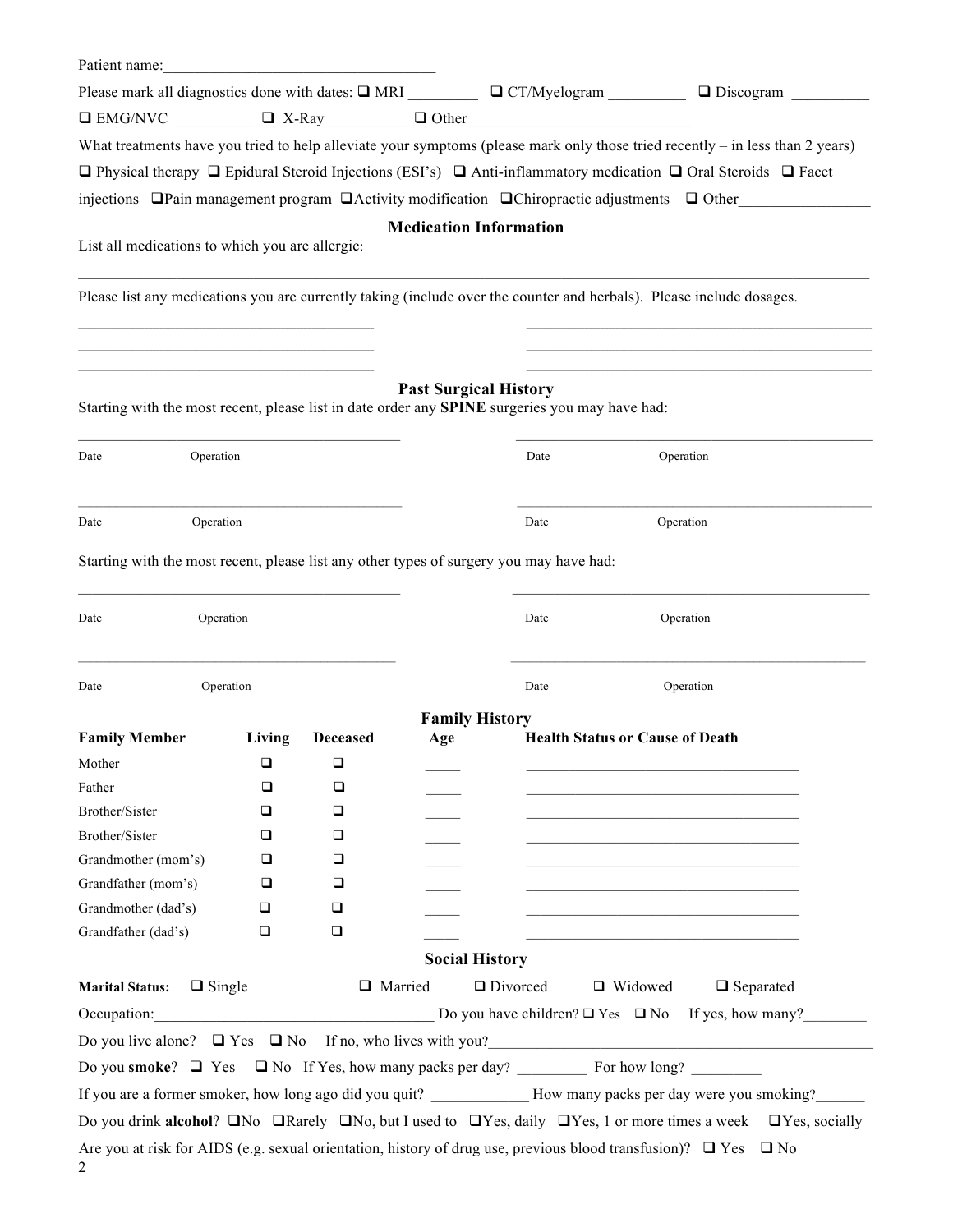| Patient name:                                                                           |        |                                                                                                                        |     |                                                                                                                           |                                                                                                                                                          |
|-----------------------------------------------------------------------------------------|--------|------------------------------------------------------------------------------------------------------------------------|-----|---------------------------------------------------------------------------------------------------------------------------|----------------------------------------------------------------------------------------------------------------------------------------------------------|
|                                                                                         |        |                                                                                                                        |     | Please mark all diagnostics done with dates: $\square$ MRI $\square$ CT/Myelogram                                         | $\Box$ Discogram                                                                                                                                         |
|                                                                                         |        |                                                                                                                        |     | $\Box$ EMG/NVC $\Box$ $\Box$ X-Ray $\Box$ Other                                                                           |                                                                                                                                                          |
|                                                                                         |        |                                                                                                                        |     |                                                                                                                           | What treatments have you tried to help alleviate your symptoms (please mark only those tried recently – in less than 2 years)                            |
|                                                                                         |        |                                                                                                                        |     |                                                                                                                           | $\Box$ Physical therapy $\Box$ Epidural Steroid Injections (ESI's) $\Box$ Anti-inflammatory medication $\Box$ Oral Steroids $\Box$ Facet                 |
|                                                                                         |        |                                                                                                                        |     |                                                                                                                           | injections $\Box$ Pain management program $\Box$ Activity modification $\Box$ Chiropractic adjustments $\Box$ Other                                      |
|                                                                                         |        |                                                                                                                        |     | <b>Medication Information</b>                                                                                             |                                                                                                                                                          |
| List all medications to which you are allergic:                                         |        |                                                                                                                        |     |                                                                                                                           |                                                                                                                                                          |
|                                                                                         |        |                                                                                                                        |     |                                                                                                                           |                                                                                                                                                          |
|                                                                                         |        |                                                                                                                        |     | Please list any medications you are currently taking (include over the counter and herbals). Please include dosages.      |                                                                                                                                                          |
|                                                                                         |        |                                                                                                                        |     |                                                                                                                           |                                                                                                                                                          |
|                                                                                         |        |                                                                                                                        |     | <b>Past Surgical History</b>                                                                                              |                                                                                                                                                          |
|                                                                                         |        |                                                                                                                        |     | Starting with the most recent, please list in date order any SPINE surgeries you may have had:                            |                                                                                                                                                          |
| Operation<br>Date                                                                       |        |                                                                                                                        |     | Date                                                                                                                      | Operation                                                                                                                                                |
|                                                                                         |        |                                                                                                                        |     |                                                                                                                           |                                                                                                                                                          |
| Operation<br>Date                                                                       |        |                                                                                                                        |     | Date                                                                                                                      | Operation                                                                                                                                                |
|                                                                                         |        |                                                                                                                        |     |                                                                                                                           |                                                                                                                                                          |
| Starting with the most recent, please list any other types of surgery you may have had: |        |                                                                                                                        |     |                                                                                                                           |                                                                                                                                                          |
| Operation<br>Date                                                                       |        |                                                                                                                        |     | Date                                                                                                                      | Operation                                                                                                                                                |
|                                                                                         |        |                                                                                                                        |     |                                                                                                                           |                                                                                                                                                          |
| Operation<br>Date                                                                       |        |                                                                                                                        |     | Date                                                                                                                      | Operation                                                                                                                                                |
|                                                                                         |        |                                                                                                                        |     | <b>Family History</b>                                                                                                     |                                                                                                                                                          |
| <b>Family Member</b>                                                                    | Living | <b>Deceased</b>                                                                                                        | Age | <b>Health Status or Cause of Death</b>                                                                                    |                                                                                                                                                          |
| Mother                                                                                  | $\Box$ | $\Box$                                                                                                                 |     |                                                                                                                           |                                                                                                                                                          |
| Father                                                                                  | ❏      | ❏                                                                                                                      |     |                                                                                                                           |                                                                                                                                                          |
| Brother/Sister                                                                          | ❏      | ❏                                                                                                                      |     |                                                                                                                           |                                                                                                                                                          |
| Brother/Sister                                                                          | ❏      | ❏                                                                                                                      |     |                                                                                                                           |                                                                                                                                                          |
| Grandmother (mom's)                                                                     | □      | $\Box$                                                                                                                 |     |                                                                                                                           |                                                                                                                                                          |
| Grandfather (mom's)                                                                     | ❏      | □                                                                                                                      |     |                                                                                                                           |                                                                                                                                                          |
| Grandmother (dad's)                                                                     | Q      | Q                                                                                                                      |     |                                                                                                                           |                                                                                                                                                          |
| Grandfather (dad's)                                                                     | $\Box$ | $\Box$                                                                                                                 |     |                                                                                                                           | <u> 1989 - Johann Barbara, martxa alemaniar amerikan basar da a</u>                                                                                      |
|                                                                                         |        |                                                                                                                        |     | <b>Social History</b>                                                                                                     |                                                                                                                                                          |
| <b>Marital Status:</b><br>$\Box$ Single                                                 |        | □ Married                                                                                                              |     | □ Divorced<br>□ Widowed                                                                                                   | $\Box$ Separated                                                                                                                                         |
| Occupation:                                                                             |        | <u> 1989 - Johann Stoff, deutscher Stoffen und der Stoffen und der Stoffen und der Stoffen und der Stoffen und der</u> |     |                                                                                                                           | Do you have children? $\Box$ Yes $\Box$ No If yes, how many?                                                                                             |
|                                                                                         |        |                                                                                                                        |     |                                                                                                                           | Do you live alone? $\Box$ Yes $\Box$ No If no, who lives with you?                                                                                       |
|                                                                                         |        |                                                                                                                        |     |                                                                                                                           |                                                                                                                                                          |
|                                                                                         |        |                                                                                                                        |     |                                                                                                                           | If you are a former smoker, how long ago did you quit? How many packs per day were you smoking?                                                          |
|                                                                                         |        |                                                                                                                        |     |                                                                                                                           | Do you drink <b>alcohol</b> ? $\Box$ No $\Box$ Rarely $\Box$ No, but I used to $\Box$ Yes, daily $\Box$ Yes, 1 or more times a week $\Box$ Yes, socially |
|                                                                                         |        |                                                                                                                        |     | Are you at risk for AIDS (e.g. sexual orientation, history of drug use, previous blood transfusion)? $\Box$ Yes $\Box$ No |                                                                                                                                                          |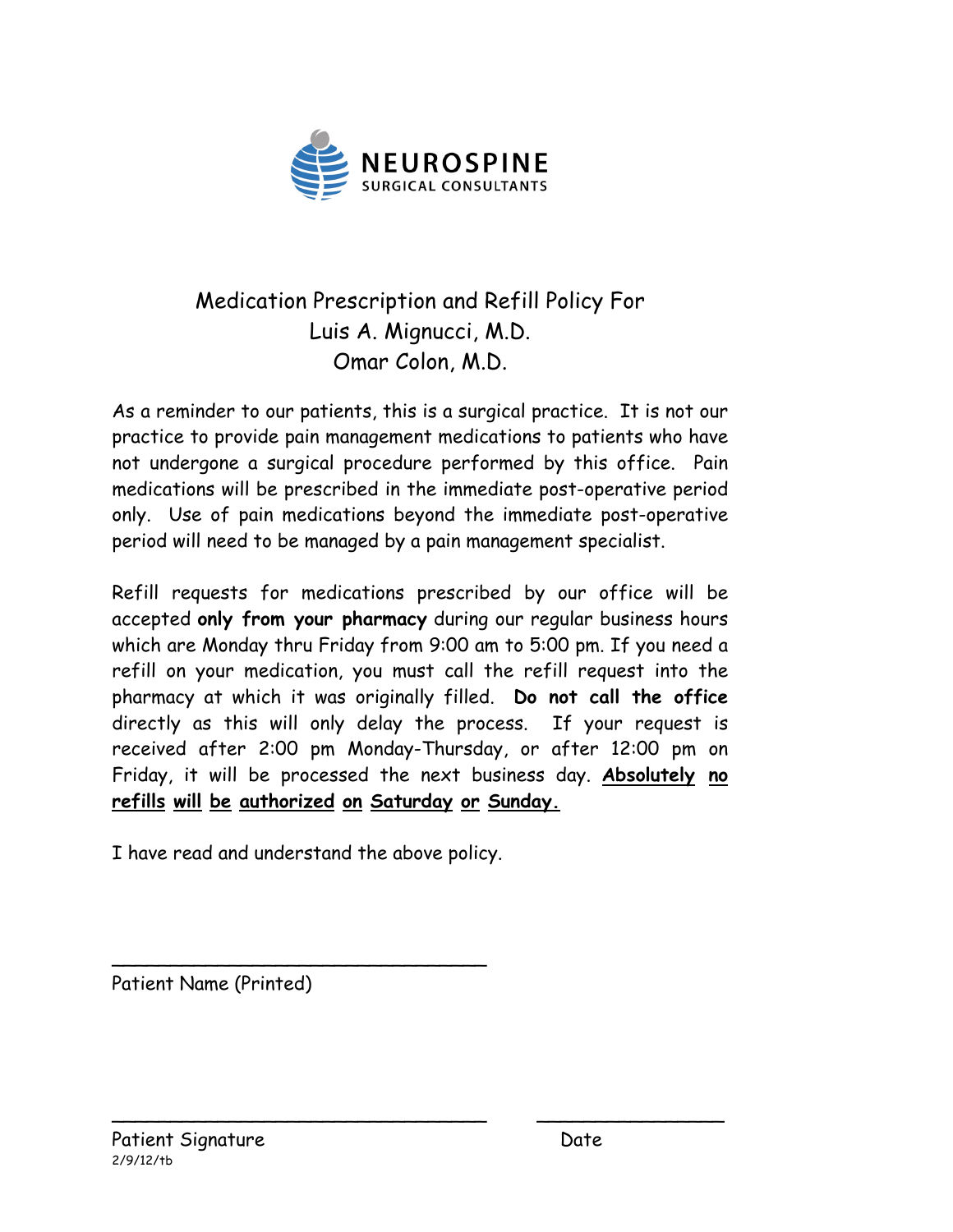

# Medication Prescription and Refill Policy For Luis A. Mignucci, M.D. Omar Colon, M.D.

As a reminder to our patients, this is a surgical practice. It is not our practice to provide pain management medications to patients who have not undergone a surgical procedure performed by this office. Pain medications will be prescribed in the immediate post-operative period only. Use of pain medications beyond the immediate post-operative period will need to be managed by a pain management specialist.

Refill requests for medications prescribed by our office will be accepted **only from your pharmacy** during our regular business hours which are Monday thru Friday from 9:00 am to 5:00 pm. If you need a refill on your medication, you must call the refill request into the pharmacy at which it was originally filled. **Do not call the office**  directly as this will only delay the process. If your request is received after 2:00 pm Monday-Thursday, or after 12:00 pm on Friday, it will be processed the next business day. **Absolutely no refills will be authorized on Saturday or Sunday.**

\_\_\_\_\_\_\_\_\_\_\_\_\_\_\_\_\_\_\_\_\_\_\_\_\_\_\_\_\_\_\_\_ \_\_\_\_\_\_\_\_\_\_\_\_\_\_\_\_

I have read and understand the above policy.

\_\_\_\_\_\_\_\_\_\_\_\_\_\_\_\_\_\_\_\_\_\_\_\_\_\_\_\_\_\_\_\_

Patient Name (Printed)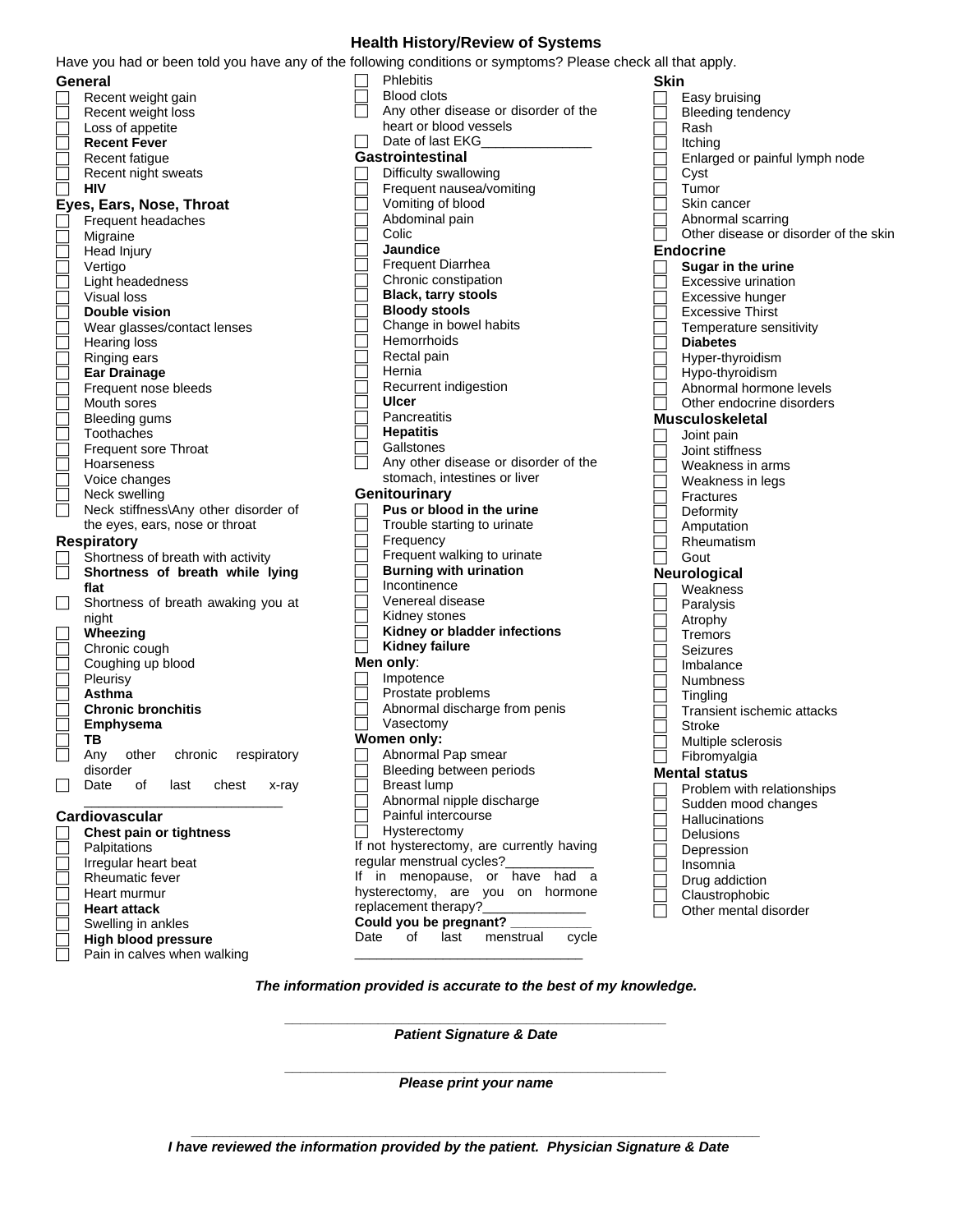#### **Health History/Review of Systems**

Have you had or been told you have any of the following conditions or symptoms? Please check all that apply.

| General                                |
|----------------------------------------|
| Recent weight gain                     |
| Recent weight loss                     |
| Loss of appetite                       |
| <b>Recent Fever</b>                    |
| Recent fatigue                         |
| Recent night sweats                    |
| HIV                                    |
|                                        |
| Eyes, Ears, Nose, Throat               |
| Frequent headaches                     |
| Migraine                               |
| Head Injury                            |
| Vertigo                                |
| Light headedness                       |
| Visual loss                            |
| <b>Double vision</b>                   |
| Wear glasses/contact lenses            |
| Hearing loss                           |
| Ringing ears                           |
| <b>Ear Drainage</b>                    |
|                                        |
| Frequent nose bleeds                   |
| Mouth sores                            |
| <b>Bleeding gums</b>                   |
| Toothaches                             |
| Frequent sore Throat                   |
| Hoarseness                             |
| Voice changes                          |
| Neck swelling                          |
| Neck stiffness\Any other disorder of   |
| the eyes, ears, nose or throat         |
| <b>Respiratory</b>                     |
| Shortness of breath with activity      |
| Shortness of breath while lying        |
| flat                                   |
| Shortness of breath awaking you at     |
|                                        |
| night                                  |
| Wheezing                               |
| Chronic cough                          |
| Coughing up blood                      |
| Pleurisy                               |
| Asthma                                 |
| <b>Chronic bronchitis</b>              |
| Emphysema                              |
| ΤВ                                     |
| chronic<br>Any<br>other<br>respiratory |
| disorder                               |
| Date<br>of<br>last<br>chest<br>x-ray   |
|                                        |
| Cardiovascular                         |
| <b>Chest pain or tightness</b>         |
| Palpitations                           |
| Irregular heart beat                   |
|                                        |
| Rheumatic fever                        |
| Heart murmur                           |
| Heart attack                           |
| Swelling in ankles                     |
| <b>High blood pressure</b>             |
| Pain in calves when walking            |

 Phlebitis Blood clots Any other disease or disorder of the heart or blood vessels  $\Box$  Date of last EKG **Gastrointestinal**  $\Box$  Difficulty swallowing Frequent nausea/vomiting Vomiting of blood Abdominal pain Colic **Jaundice** Frequent Diarrhea Chronic constipation **Black, tarry stools Bloody stools** Change in bowel habits **Hemorrhoids**  Rectal pain Hernia Recurrent indigestion **Ulcer Pancreatitis Hepatitis Gallstones**  Any other disease or disorder of the stomach, intestines or liver **Genitourinary Pus or blood in the urine** Trouble starting to urinate Frequency Frequent walking to urinate **Burning with urination Incontinence**  Venereal disease Kidney stones **Kidney or bladder infections Kidney failure Men only**:  $\Box$  Impotence Prostate problems Abnormal discharge from penis Vasectomy **Women only:** Abnormal Pap smear Bleeding between periods Breast lump Abnormal nipple discharge Painful intercourse  $\overline{\Box}$  Hysterectomy If not hysterectomy, are currently having regular menstrual cycles? If in menopause, or have had a hysterectomy, are you on hormone replacement therapy?\_ **Could you be pregnant? \_\_\_\_\_\_\_\_\_\_\_** Date of last menstrual

**Skin** Easy bruising Bleeding tendency<br>
Rash □ Rash<br>□ Itching Itching  $\Box$  Enlarged or painful lymph node  $\Box$  Cyst Tumor Skin cancer  $\Box$  Abnormal scarring<br> $\Box$  Other disease or di Other disease or disorder of the skin **Endocrine Sugar in the urine**  $\overline{\Box}$  Excessive urination Excessive hunger Excessive Thirst<br>
Femperature sen<br> **Diabetes**  Temperature sensitivity **Diabetes**<br> **Diabetes**  Hyper-thyroidism Hypo-thyroidism Abnormal hormone levels Other endocrine disorders **Musculoskeletal**<br> **algeright**<br> **algering**<br> **algering**<br> **algering**  Joint pain  $\Box$  Joint stiffness<br> $\Box$  Weakness in a  $\Box$  Weakness in arms<br> $\Box$  Weakness in legs □ Weakness in legs<br>□ Fractures<br>□ Deformity<br>□ Amputation Fractures Deformity Amputation<br>
Rheumatism<br>
Gout Rheumatism Gout **Neurological** □ Weakness<br>□ Paralysis □ Paralysis<br>□ Atrophy Atrophy  $\overline{\Box}$  Tremors Seizures Imbalance  $\Box$  Numbness<br> $\Box$  Tingling  $\overline{\Box}$  Tingling<br> $\overline{\Box}$  Transier Transient ischemic attacks<br>
Stroke<br>
Multiple sclerosis Stroke Multiple sclerosis Fibromyalgia **Mental status**  $\Box$  Problem with relationships Sudden mood changes  $\Box$  Hallucinations<br> $\Box$  Delusions Delusions Depression Insomnia Drug addiction Claustrophobic Other mental disorder

*The information provided is accurate to the best of my knowledge.*

\_\_\_\_\_\_\_\_\_\_\_\_\_\_\_\_\_\_\_\_\_\_\_\_\_\_\_\_\_\_\_

*\_\_\_\_\_\_\_\_\_\_\_\_\_\_\_\_\_\_\_\_\_\_\_\_\_\_\_\_\_\_\_\_\_\_\_\_\_\_\_\_\_\_\_\_\_\_\_\_\_ Patient Signature & Date*

*\_\_\_\_\_\_\_\_\_\_\_\_\_\_\_\_\_\_\_\_\_\_\_\_\_\_\_\_\_\_\_\_\_\_\_\_\_\_\_\_\_\_\_\_\_\_\_\_\_ Please print your name*